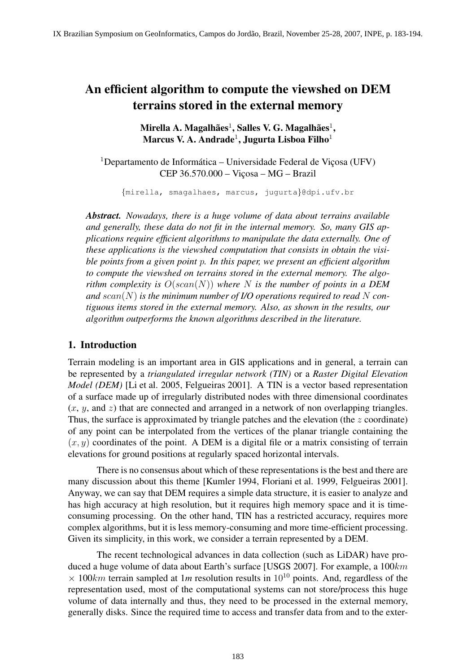# An efficient algorithm to compute the viewshed on DEM terrains stored in the external memory

# Mirella A. Magalhães $^1,$  Salles V. G. Magalhães $^1,$ Marcus V. A. Andrade $^1$ , Jugurta Lisboa Filho $^1$

 $1$ Departamento de Informática – Universidade Federal de Vicosa (UFV)  $CEP 36.570.000 - Vicosa - MG - Brazil$ 

{mirella, smagalhaes, marcus, jugurta}@dpi.ufv.br

*Abstract. Nowadays, there is a huge volume of data about terrains available and generally, these data do not fit in the internal memory. So, many GIS applications require efficient algorithms to manipulate the data externally. One of these applications is the viewshed computation that consists in obtain the visible points from a given point* p*. In this paper, we present an efficient algorithm to compute the viewshed on terrains stored in the external memory. The algorithm complexity is*  $O(\operatorname{scan}(N))$  *where* N *is the number of points in a DEM* and  $scan(N)$  is the minimum number of I/O operations required to read N con*tiguous items stored in the external memory. Also, as shown in the results, our algorithm outperforms the known algorithms described in the literature.*

## 1. Introduction

Terrain modeling is an important area in GIS applications and in general, a terrain can be represented by a *triangulated irregular network (TIN)* or a *Raster Digital Elevation Model (DEM)* [Li et al. 2005, Felgueiras 2001]. A TIN is a vector based representation of a surface made up of irregularly distributed nodes with three dimensional coordinates  $(x, y, \text{ and } z)$  that are connected and arranged in a network of non overlapping triangles. Thus, the surface is approximated by triangle patches and the elevation (the z coordinate) of any point can be interpolated from the vertices of the planar triangle containing the  $(x, y)$  coordinates of the point. A DEM is a digital file or a matrix consisting of terrain elevations for ground positions at regularly spaced horizontal intervals.

There is no consensus about which of these representations is the best and there are many discussion about this theme [Kumler 1994, Floriani et al. 1999, Felgueiras 2001]. Anyway, we can say that DEM requires a simple data structure, it is easier to analyze and has high accuracy at high resolution, but it requires high memory space and it is timeconsuming processing. On the other hand, TIN has a restricted accuracy, requires more complex algorithms, but it is less memory-consuming and more time-efficient processing. Given its simplicity, in this work, we consider a terrain represented by a DEM.

The recent technological advances in data collection (such as LiDAR) have produced a huge volume of data about Earth's surface [USGS 2007]. For example, a  $100km$  $\times$  100km terrain sampled at 1m resolution results in 10<sup>10</sup> points. And, regardless of the representation used, most of the computational systems can not store/process this huge volume of data internally and thus, they need to be processed in the external memory, generally disks. Since the required time to access and transfer data from and to the exter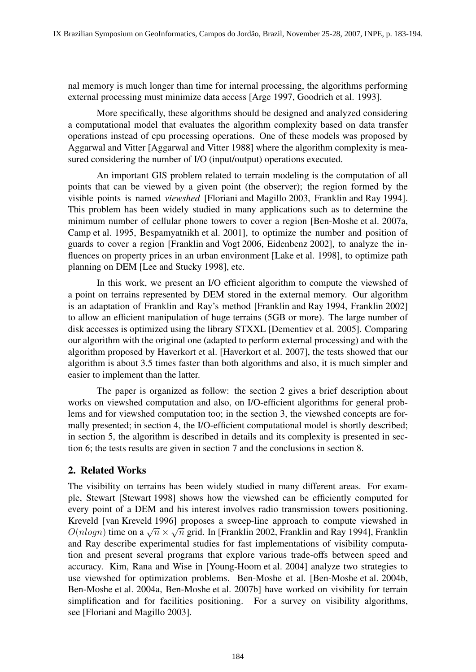nal memory is much longer than time for internal processing, the algorithms performing external processing must minimize data access [Arge 1997, Goodrich et al. 1993].

More specifically, these algorithms should be designed and analyzed considering a computational model that evaluates the algorithm complexity based on data transfer operations instead of cpu processing operations. One of these models was proposed by Aggarwal and Vitter [Aggarwal and Vitter 1988] where the algorithm complexity is measured considering the number of I/O (input/output) operations executed.

An important GIS problem related to terrain modeling is the computation of all points that can be viewed by a given point (the observer); the region formed by the visible points is named *viewshed* [Floriani and Magillo 2003, Franklin and Ray 1994]. This problem has been widely studied in many applications such as to determine the minimum number of cellular phone towers to cover a region [Ben-Moshe et al. 2007a, Camp et al. 1995, Bespamyatnikh et al. 2001], to optimize the number and position of guards to cover a region [Franklin and Vogt 2006, Eidenbenz 2002], to analyze the influences on property prices in an urban environment [Lake et al. 1998], to optimize path planning on DEM [Lee and Stucky 1998], etc.

In this work, we present an I/O efficient algorithm to compute the viewshed of a point on terrains represented by DEM stored in the external memory. Our algorithm is an adaptation of Franklin and Ray's method [Franklin and Ray 1994, Franklin 2002] to allow an efficient manipulation of huge terrains (5GB or more). The large number of disk accesses is optimized using the library STXXL [Dementiev et al. 2005]. Comparing our algorithm with the original one (adapted to perform external processing) and with the algorithm proposed by Haverkort et al. [Haverkort et al. 2007], the tests showed that our algorithm is about 3.5 times faster than both algorithms and also, it is much simpler and easier to implement than the latter.

The paper is organized as follow: the section 2 gives a brief description about works on viewshed computation and also, on I/O-efficient algorithms for general problems and for viewshed computation too; in the section 3, the viewshed concepts are formally presented; in section 4, the I/O-efficient computational model is shortly described; in section 5, the algorithm is described in details and its complexity is presented in section 6; the tests results are given in section 7 and the conclusions in section 8.

# 2. Related Works

The visibility on terrains has been widely studied in many different areas. For example, Stewart [Stewart 1998] shows how the viewshed can be efficiently computed for every point of a DEM and his interest involves radio transmission towers positioning. Kreveld [van Kreveld 1996] proposes a sweep-line approach to compute viewshed in √ Reveld [van Rieveld 1990] proposes a sweep-line approach to compute viewshed in  $O(nlogn)$  time on a  $\sqrt{n} \times \sqrt{n}$  grid. In [Franklin 2002, Franklin and Ray 1994], Franklin and Ray describe experimental studies for fast implementations of visibility computation and present several programs that explore various trade-offs between speed and accuracy. Kim, Rana and Wise in [Young-Hoom et al. 2004] analyze two strategies to use viewshed for optimization problems. Ben-Moshe et al. [Ben-Moshe et al. 2004b, Ben-Moshe et al. 2004a, Ben-Moshe et al. 2007b] have worked on visibility for terrain simplification and for facilities positioning. For a survey on visibility algorithms, see [Floriani and Magillo 2003].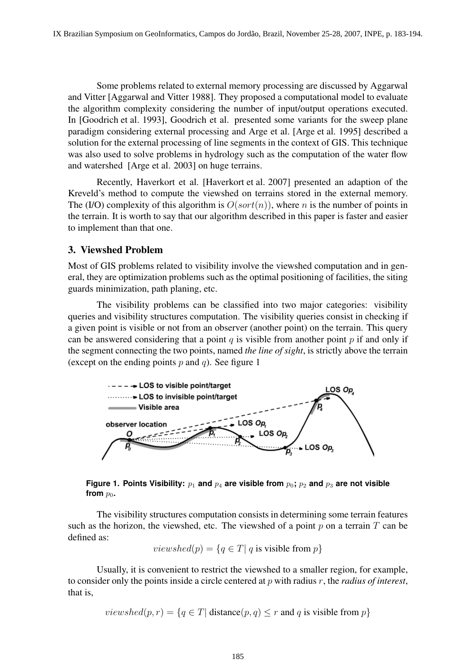Some problems related to external memory processing are discussed by Aggarwal and Vitter [Aggarwal and Vitter 1988]. They proposed a computational model to evaluate the algorithm complexity considering the number of input/output operations executed. In [Goodrich et al. 1993], Goodrich et al. presented some variants for the sweep plane paradigm considering external processing and Arge et al. [Arge et al. 1995] described a solution for the external processing of line segments in the context of GIS. This technique was also used to solve problems in hydrology such as the computation of the water flow and watershed [Arge et al. 2003] on huge terrains.

Recently, Haverkort et al. [Haverkort et al. 2007] presented an adaption of the Kreveld's method to compute the viewshed on terrains stored in the external memory. The (I/O) complexity of this algorithm is  $O(sort(n))$ , where n is the number of points in the terrain. It is worth to say that our algorithm described in this paper is faster and easier to implement than that one.

## 3. Viewshed Problem

Most of GIS problems related to visibility involve the viewshed computation and in general, they are optimization problems such as the optimal positioning of facilities, the siting guards minimization, path planing, etc.

The visibility problems can be classified into two major categories: visibility queries and visibility structures computation. The visibility queries consist in checking if a given point is visible or not from an observer (another point) on the terrain. This query can be answered considering that a point  $q$  is visible from another point  $p$  if and only if the segment connecting the two points, named *the line of sight*, is strictly above the terrain (except on the ending points  $p$  and  $q$ ). See figure 1



**Figure 1. Points Visibility:**  $p_1$  **and**  $p_4$  **are visible from**  $p_0$ ;  $p_2$  **and**  $p_3$  **are not visible** from  $p_0$ .

The visibility structures computation consists in determining some terrain features such as the horizon, the viewshed, etc. The viewshed of a point  $p$  on a terrain  $T$  can be defined as:

*viewshed*(
$$
p
$$
) = { $q \in T$ |  $q$  is visible from  $p$ }

Usually, it is convenient to restrict the viewshed to a smaller region, for example, to consider only the points inside a circle centered at p with radius r, the *radius of interest*, that is,

*viewshed* $(p, r) = \{q \in T |$  distance $(p, q) \leq r$  and q is visible from p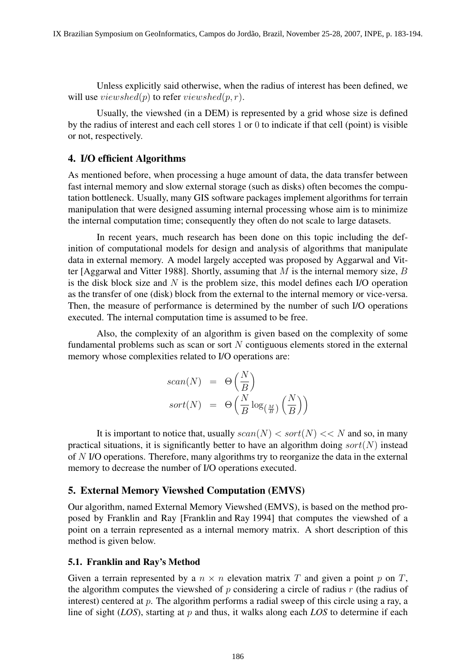Unless explicitly said otherwise, when the radius of interest has been defined, we will use  $viewshed(p)$  to refer  $viewshed(p, r)$ .

Usually, the viewshed (in a DEM) is represented by a grid whose size is defined by the radius of interest and each cell stores 1 or 0 to indicate if that cell (point) is visible or not, respectively.

#### 4. I/O efficient Algorithms

As mentioned before, when processing a huge amount of data, the data transfer between fast internal memory and slow external storage (such as disks) often becomes the computation bottleneck. Usually, many GIS software packages implement algorithms for terrain manipulation that were designed assuming internal processing whose aim is to minimize the internal computation time; consequently they often do not scale to large datasets.

In recent years, much research has been done on this topic including the definition of computational models for design and analysis of algorithms that manipulate data in external memory. A model largely accepted was proposed by Aggarwal and Vitter [Aggarwal and Vitter 1988]. Shortly, assuming that  $M$  is the internal memory size,  $B$ is the disk block size and  $N$  is the problem size, this model defines each I/O operation as the transfer of one (disk) block from the external to the internal memory or vice-versa. Then, the measure of performance is determined by the number of such I/O operations executed. The internal computation time is assumed to be free.

Also, the complexity of an algorithm is given based on the complexity of some fundamental problems such as scan or sort  $N$  contiguous elements stored in the external memory whose complexities related to I/O operations are:

$$
scan(N) = \Theta\left(\frac{N}{B}\right)
$$

$$
sort(N) = \Theta\left(\frac{N}{B}\log_{\left(\frac{M}{B}\right)}\left(\frac{N}{B}\right)\right)
$$

It is important to notice that, usually  $scan(N) < sort(N) < N$  and so, in many practical situations, it is significantly better to have an algorithm doing  $sort(N)$  instead of N I/O operations. Therefore, many algorithms try to reorganize the data in the external memory to decrease the number of I/O operations executed.

#### 5. External Memory Viewshed Computation (EMVS)

Our algorithm, named External Memory Viewshed (EMVS), is based on the method proposed by Franklin and Ray [Franklin and Ray 1994] that computes the viewshed of a point on a terrain represented as a internal memory matrix. A short description of this method is given below.

#### 5.1. Franklin and Ray's Method

Given a terrain represented by a  $n \times n$  elevation matrix T and given a point p on T, the algorithm computes the viewshed of p considering a circle of radius  $r$  (the radius of interest) centered at p. The algorithm performs a radial sweep of this circle using a ray, a line of sight (*LOS*), starting at p and thus, it walks along each *LOS* to determine if each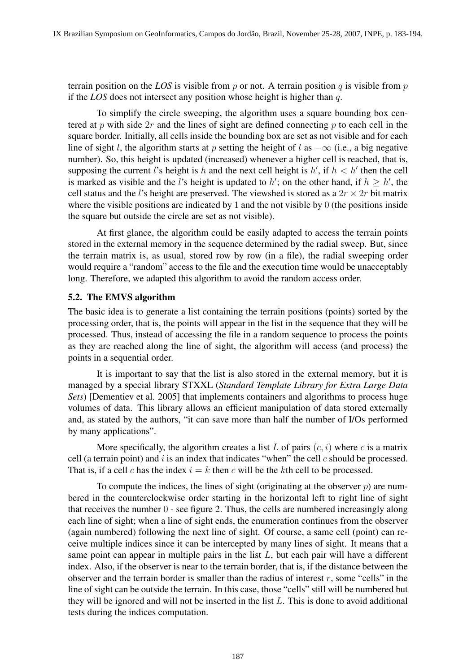terrain position on the *LOS* is visible from  $p$  or not. A terrain position  $q$  is visible from  $p$ if the *LOS* does not intersect any position whose height is higher than q.

To simplify the circle sweeping, the algorithm uses a square bounding box centered at p with side  $2r$  and the lines of sight are defined connecting p to each cell in the square border. Initially, all cells inside the bounding box are set as not visible and for each line of sight l, the algorithm starts at p setting the height of l as  $-\infty$  (i.e., a big negative number). So, this height is updated (increased) whenever a higher cell is reached, that is, supposing the current l's height is h and the next cell height is  $h'$ , if  $h < h'$  then the cell is marked as visible and the l's height is updated to h'; on the other hand, if  $h \geq h'$ , the cell status and the *l*'s height are preserved. The viewshed is stored as a  $2r \times 2r$  bit matrix where the visible positions are indicated by 1 and the not visible by 0 (the positions inside the square but outside the circle are set as not visible).

At first glance, the algorithm could be easily adapted to access the terrain points stored in the external memory in the sequence determined by the radial sweep. But, since the terrain matrix is, as usual, stored row by row (in a file), the radial sweeping order would require a "random" access to the file and the execution time would be unacceptably long. Therefore, we adapted this algorithm to avoid the random access order.

## 5.2. The EMVS algorithm

The basic idea is to generate a list containing the terrain positions (points) sorted by the processing order, that is, the points will appear in the list in the sequence that they will be processed. Thus, instead of accessing the file in a random sequence to process the points as they are reached along the line of sight, the algorithm will access (and process) the points in a sequential order.

It is important to say that the list is also stored in the external memory, but it is managed by a special library STXXL (*Standard Template Library for Extra Large Data Sets*) [Dementiev et al. 2005] that implements containers and algorithms to process huge volumes of data. This library allows an efficient manipulation of data stored externally and, as stated by the authors, "it can save more than half the number of I/Os performed by many applications".

More specifically, the algorithm creates a list L of pairs  $(c, i)$  where c is a matrix cell (a terrain point) and i is an index that indicates "when" the cell  $c$  should be processed. That is, if a cell c has the index  $i = k$  then c will be the kth cell to be processed.

To compute the indices, the lines of sight (originating at the observer  $p$ ) are numbered in the counterclockwise order starting in the horizontal left to right line of sight that receives the number 0 - see figure 2. Thus, the cells are numbered increasingly along each line of sight; when a line of sight ends, the enumeration continues from the observer (again numbered) following the next line of sight. Of course, a same cell (point) can receive multiple indices since it can be intercepted by many lines of sight. It means that a same point can appear in multiple pairs in the list  $L$ , but each pair will have a different index. Also, if the observer is near to the terrain border, that is, if the distance between the observer and the terrain border is smaller than the radius of interest  $r$ , some "cells" in the line of sight can be outside the terrain. In this case, those "cells" still will be numbered but they will be ignored and will not be inserted in the list  $L$ . This is done to avoid additional tests during the indices computation.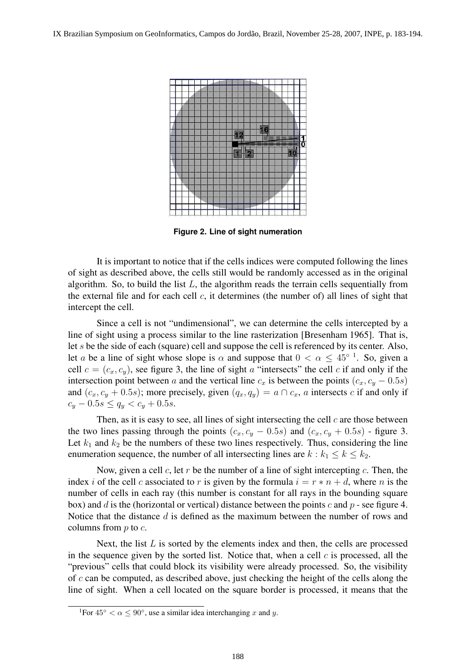

**Figure 2. Line of sight numeration**

It is important to notice that if the cells indices were computed following the lines of sight as described above, the cells still would be randomly accessed as in the original algorithm. So, to build the list  $L$ , the algorithm reads the terrain cells sequentially from the external file and for each cell  $c$ , it determines (the number of) all lines of sight that intercept the cell.

Since a cell is not "undimensional", we can determine the cells intercepted by a line of sight using a process similar to the line rasterization [Bresenham 1965]. That is, let s be the side of each (square) cell and suppose the cell is referenced by its center. Also, let a be a line of sight whose slope is  $\alpha$  and suppose that  $0 < \alpha \leq 45^{\circ}$  1. So, given a cell  $c = (c_x, c_y)$ , see figure 3, the line of sight a "intersects" the cell c if and only if the intersection point between a and the vertical line  $c_x$  is between the points  $(c_x, c_y - 0.5s)$ and  $(c_x, c_y + 0.5s)$ ; more precisely, given  $(q_x, q_y) = a \cap c_x$ , a intersects c if and only if  $c_y - 0.5s \le q_y < c_y + 0.5s$ .

Then, as it is easy to see, all lines of sight intersecting the cell  $c$  are those between the two lines passing through the points  $(c_x, c_y - 0.5s)$  and  $(c_x, c_y + 0.5s)$  - figure 3. Let  $k_1$  and  $k_2$  be the numbers of these two lines respectively. Thus, considering the line enumeration sequence, the number of all intersecting lines are  $k : k_1 \leq k \leq k_2$ .

Now, given a cell c, let r be the number of a line of sight intercepting c. Then, the index i of the cell c associated to r is given by the formula  $i = r * n + d$ , where n is the number of cells in each ray (this number is constant for all rays in the bounding square box) and d is the (horizontal or vertical) distance between the points c and  $p$  - see figure 4. Notice that the distance d is defined as the maximum between the number of rows and columns from  $p$  to  $c$ .

Next, the list  $L$  is sorted by the elements index and then, the cells are processed in the sequence given by the sorted list. Notice that, when a cell  $c$  is processed, all the "previous" cells that could block its visibility were already processed. So, the visibility of  $c$  can be computed, as described above, just checking the height of the cells along the line of sight. When a cell located on the square border is processed, it means that the

<sup>&</sup>lt;sup>1</sup>For 45<sup>°</sup> <  $\alpha \le 90^\circ$ , use a similar idea interchanging x and y.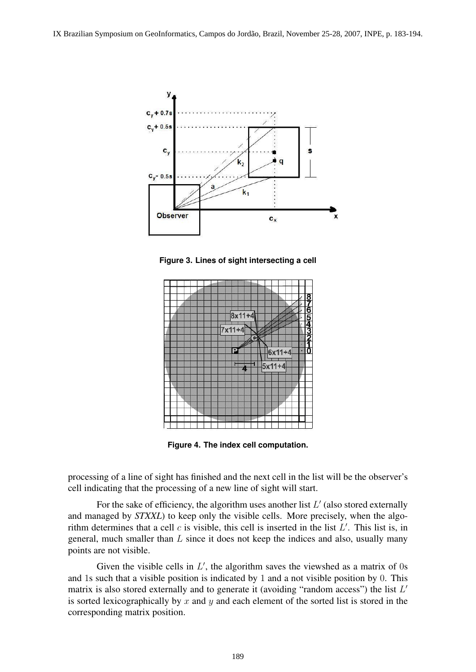

**Figure 3. Lines of sight intersecting a cell**



**Figure 4. The index cell computation.**

processing of a line of sight has finished and the next cell in the list will be the observer's cell indicating that the processing of a new line of sight will start.

For the sake of efficiency, the algorithm uses another list  $L'$  (also stored externally and managed by *STXXL*) to keep only the visible cells. More precisely, when the algorithm determines that a cell  $c$  is visible, this cell is inserted in the list  $L'$ . This list is, in general, much smaller than  $L$  since it does not keep the indices and also, usually many points are not visible.

Given the visible cells in  $L'$ , the algorithm saves the viewshed as a matrix of 0s and 1s such that a visible position is indicated by 1 and a not visible position by 0. This matrix is also stored externally and to generate it (avoiding "random access") the list  $L'$ is sorted lexicographically by x and y and each element of the sorted list is stored in the corresponding matrix position.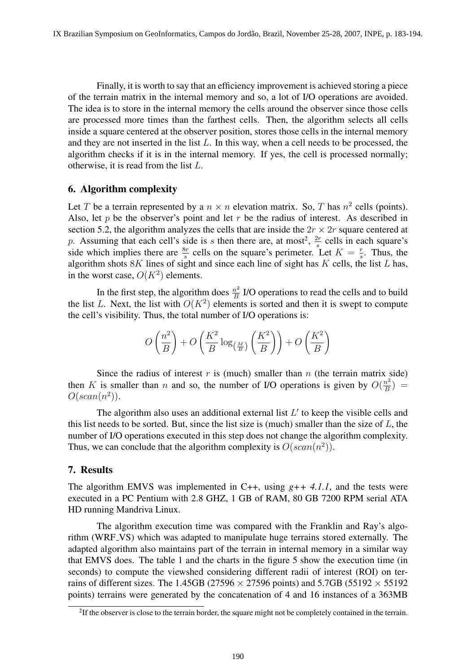Finally, it is worth to say that an efficiency improvement is achieved storing a piece of the terrain matrix in the internal memory and so, a lot of I/O operations are avoided. The idea is to store in the internal memory the cells around the observer since those cells are processed more times than the farthest cells. Then, the algorithm selects all cells inside a square centered at the observer position, stores those cells in the internal memory and they are not inserted in the list  $L$ . In this way, when a cell needs to be processed, the algorithm checks if it is in the internal memory. If yes, the cell is processed normally; otherwise, it is read from the list  $L$ .

## 6. Algorithm complexity

Let T be a terrain represented by a  $n \times n$  elevation matrix. So, T has  $n^2$  cells (points). Also, let  $p$  be the observer's point and let  $r$  be the radius of interest. As described in section 5.2, the algorithm analyzes the cells that are inside the  $2r \times 2r$  square centered at p. Assuming that each cell's side is s then there are, at most<sup>2</sup>,  $\frac{2r}{s}$  cells in each square's side which implies there are  $\frac{8r}{s}$  cells on the square's perimeter. Let  $K = \frac{r}{s}$  $\frac{r}{s}$ . Thus, the algorithm shots  $8K$  lines of sight and since each line of sight has K cells, the list L has, in the worst case,  $O(K^2)$  elements.

In the first step, the algorithm does  $\frac{n^2}{B}$  $\frac{n^2}{B}$  I/O operations to read the cells and to build the list L. Next, the list with  $O(K^2)$  elements is sorted and then it is swept to compute the cell's visibility. Thus, the total number of I/O operations is:

$$
O\left(\frac{n^2}{B}\right) + O\left(\frac{K^2}{B}\log_{\left(\frac{M}{B}\right)}\left(\frac{K^2}{B}\right)\right) + O\left(\frac{K^2}{B}\right)
$$

Since the radius of interest  $r$  is (much) smaller than  $n$  (the terrain matrix side) then K is smaller than n and so, the number of I/O operations is given by  $O(\frac{n^2}{R})$  $\frac{n^2}{B}$ ) =  $O(\operatorname{scan}(n^2)).$ 

The algorithm also uses an additional external list  $L'$  to keep the visible cells and this list needs to be sorted. But, since the list size is (much) smaller than the size of  $L$ , the number of I/O operations executed in this step does not change the algorithm complexity. Thus, we can conclude that the algorithm complexity is  $O(scan(n^2))$ .

## 7. Results

The algorithm EMVS was implemented in C++, using  $g++ 4.1.1$ , and the tests were executed in a PC Pentium with 2.8 GHZ, 1 GB of RAM, 80 GB 7200 RPM serial ATA HD running Mandriva Linux.

The algorithm execution time was compared with the Franklin and Ray's algorithm (WRF VS) which was adapted to manipulate huge terrains stored externally. The adapted algorithm also maintains part of the terrain in internal memory in a similar way that EMVS does. The table 1 and the charts in the figure 5 show the execution time (in seconds) to compute the viewshed considering different radii of interest (ROI) on terrains of different sizes. The 1.45GB (27596  $\times$  27596 points) and 5.7GB (55192  $\times$  55192 points) terrains were generated by the concatenation of 4 and 16 instances of a 363MB

 $2$ If the observer is close to the terrain border, the square might not be completely contained in the terrain.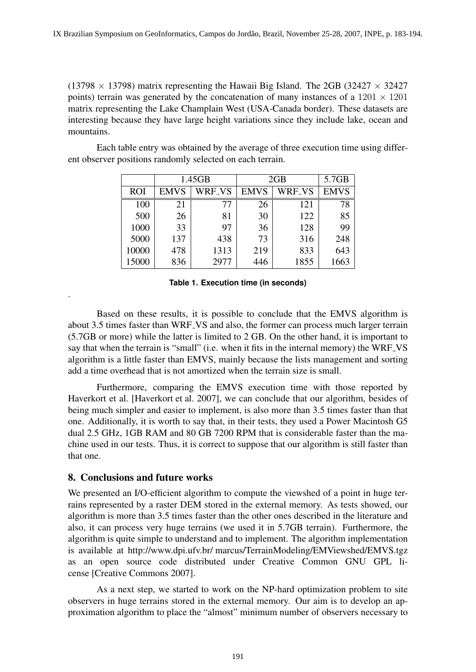(13798  $\times$  13798) matrix representing the Hawaii Big Island. The 2GB (32427  $\times$  32427 points) terrain was generated by the concatenation of many instances of a  $1201 \times 1201$ matrix representing the Lake Champlain West (USA-Canada border). These datasets are interesting because they have large height variations since they include lake, ocean and mountains.

Each table entry was obtained by the average of three execution time using different observer positions randomly selected on each terrain.

|            | 1.45GB      |        | 2GB         |                    | 5.7GB       |
|------------|-------------|--------|-------------|--------------------|-------------|
| <b>ROI</b> | <b>EMVS</b> | WRF_VS | <b>EMVS</b> | WRF <sub>-VS</sub> | <b>EMVS</b> |
| 100        | 21          | 77     | 26          | 121                | 78          |
| 500        | 26          | 81     | 30          | 122                | 85          |
| 1000       | 33          | 97     | 36          | 128                | 99          |
| 5000       | 137         | 438    | 73          | 316                | 248         |
| 10000      | 478         | 1313   | 219         | 833                | 643         |
| 15000      | 836         | 2977   | 446         | 1855               | 1663        |

**Table 1. Execution time (in seconds)**

Based on these results, it is possible to conclude that the EMVS algorithm is about 3.5 times faster than WRF VS and also, the former can process much larger terrain (5.7GB or more) while the latter is limited to 2 GB. On the other hand, it is important to say that when the terrain is "small" (i.e. when it fits in the internal memory) the WRF VS algorithm is a little faster than EMVS, mainly because the lists management and sorting add a time overhead that is not amortized when the terrain size is small.

Furthermore, comparing the EMVS execution time with those reported by Haverkort et al. [Haverkort et al. 2007], we can conclude that our algorithm, besides of being much simpler and easier to implement, is also more than 3.5 times faster than that one. Additionally, it is worth to say that, in their tests, they used a Power Macintosh G5 dual 2.5 GHz, 1GB RAM and 80 GB 7200 RPM that is considerable faster than the machine used in our tests. Thus, it is correct to suppose that our algorithm is still faster than that one.

# 8. Conclusions and future works

.

We presented an I/O-efficient algorithm to compute the viewshed of a point in huge terrains represented by a raster DEM stored in the external memory. As tests showed, our algorithm is more than 3.5 times faster than the other ones described in the literature and also, it can process very huge terrains (we used it in 5.7GB terrain). Furthermore, the algorithm is quite simple to understand and to implement. The algorithm implementation is available at http://www.dpi.ufv.br/ marcus/TerrainModeling/EMViewshed/EMVS.tgz as an open source code distributed under Creative Common GNU GPL license [Creative Commons 2007].

As a next step, we started to work on the NP-hard optimization problem to site observers in huge terrains stored in the external memory. Our aim is to develop an approximation algorithm to place the "almost" minimum number of observers necessary to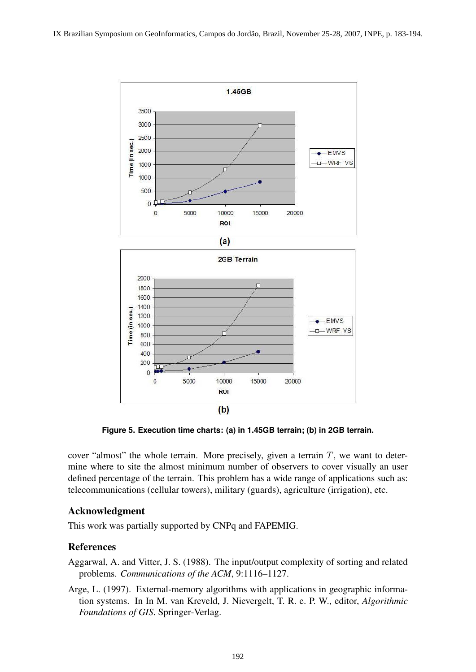

**Figure 5. Execution time charts: (a) in 1.45GB terrain; (b) in 2GB terrain.**

cover "almost" the whole terrain. More precisely, given a terrain  $T$ , we want to determine where to site the almost minimum number of observers to cover visually an user defined percentage of the terrain. This problem has a wide range of applications such as: telecommunications (cellular towers), military (guards), agriculture (irrigation), etc.

# Acknowledgment

This work was partially supported by CNPq and FAPEMIG.

## References

Aggarwal, A. and Vitter, J. S. (1988). The input/output complexity of sorting and related problems. *Communications of the ACM*, 9:1116–1127.

Arge, L. (1997). External-memory algorithms with applications in geographic information systems. In In M. van Kreveld, J. Nievergelt, T. R. e. P. W., editor, *Algorithmic Foundations of GIS*. Springer-Verlag.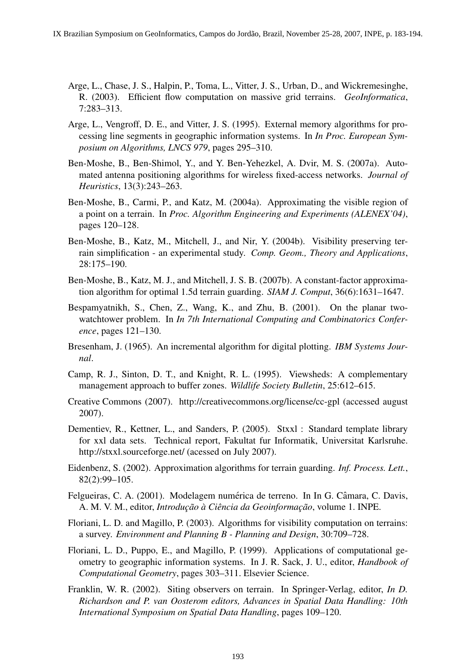- Arge, L., Chase, J. S., Halpin, P., Toma, L., Vitter, J. S., Urban, D., and Wickremesinghe, R. (2003). Efficient flow computation on massive grid terrains. *GeoInformatica*, 7:283–313.
- Arge, L., Vengroff, D. E., and Vitter, J. S. (1995). External memory algorithms for processing line segments in geographic information systems. In *In Proc. European Symposium on Algorithms, LNCS 979*, pages 295–310.
- Ben-Moshe, B., Ben-Shimol, Y., and Y. Ben-Yehezkel, A. Dvir, M. S. (2007a). Automated antenna positioning algorithms for wireless fixed-access networks. *Journal of Heuristics*, 13(3):243–263.
- Ben-Moshe, B., Carmi, P., and Katz, M. (2004a). Approximating the visible region of a point on a terrain. In *Proc. Algorithm Engineering and Experiments (ALENEX'04)*, pages 120–128.
- Ben-Moshe, B., Katz, M., Mitchell, J., and Nir, Y. (2004b). Visibility preserving terrain simplification - an experimental study. *Comp. Geom., Theory and Applications*, 28:175–190.
- Ben-Moshe, B., Katz, M. J., and Mitchell, J. S. B. (2007b). A constant-factor approximation algorithm for optimal 1.5d terrain guarding. *SIAM J. Comput*, 36(6):1631–1647.
- Bespamyatnikh, S., Chen, Z., Wang, K., and Zhu, B. (2001). On the planar twowatchtower problem. In *In 7th International Computing and Combinatorics Conference*, pages 121–130.
- Bresenham, J. (1965). An incremental algorithm for digital plotting. *IBM Systems Journal*.
- Camp, R. J., Sinton, D. T., and Knight, R. L. (1995). Viewsheds: A complementary management approach to buffer zones. *Wildlife Society Bulletin*, 25:612–615.
- Creative Commons (2007). http://creativecommons.org/license/cc-gpl (accessed august 2007).
- Dementiev, R., Kettner, L., and Sanders, P. (2005). Stxxl : Standard template library for xxl data sets. Technical report, Fakultat fur Informatik, Universitat Karlsruhe. http://stxxl.sourceforge.net/ (acessed on July 2007).
- Eidenbenz, S. (2002). Approximation algorithms for terrain guarding. *Inf. Process. Lett.*, 82(2):99–105.
- Felgueiras, C. A. (2001). Modelagem numérica de terreno. In In G. Câmara, C. Davis, A. M. V. M., editor, *Introdução à Ciência da Geoinformação*, volume 1. INPE.
- Floriani, L. D. and Magillo, P. (2003). Algorithms for visibility computation on terrains: a survey. *Environment and Planning B - Planning and Design*, 30:709–728.
- Floriani, L. D., Puppo, E., and Magillo, P. (1999). Applications of computational geometry to geographic information systems. In J. R. Sack, J. U., editor, *Handbook of Computational Geometry*, pages 303–311. Elsevier Science.
- Franklin, W. R. (2002). Siting observers on terrain. In Springer-Verlag, editor, *In D. Richardson and P. van Oosterom editors, Advances in Spatial Data Handling: 10th International Symposium on Spatial Data Handling*, pages 109–120.